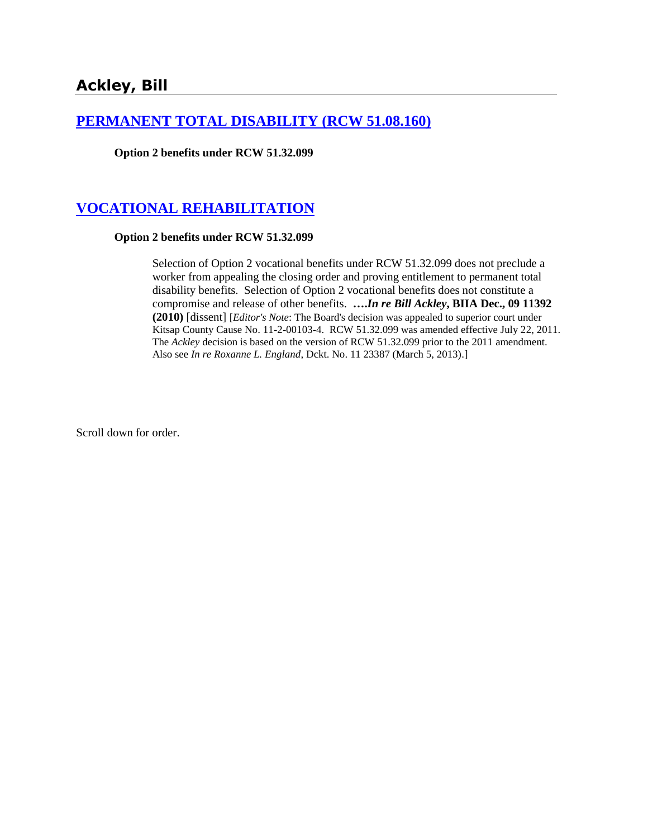## **[PERMANENT TOTAL DISABILITY \(RCW 51.08.160\)](http://www.biia.wa.gov/SDSubjectIndex.html#PERMANENT_TOTAL_DISABILITY)**

**Option 2 benefits under RCW 51.32.099**

# **[VOCATIONAL REHABILITATION](http://www.biia.wa.gov/SDSubjectIndex.html#VOCATIONAL_REHABILITATION)**

#### **Option 2 benefits under RCW 51.32.099**

Selection of Option 2 vocational benefits under RCW 51.32.099 does not preclude a worker from appealing the closing order and proving entitlement to permanent total disability benefits. Selection of Option 2 vocational benefits does not constitute a compromise and release of other benefits. **….***In re Bill Ackley***, BIIA Dec., 09 11392 (2010)** [dissent] [*Editor's Note*: The Board's decision was appealed to superior court under Kitsap County Cause No. 11-2-00103-4. RCW 51.32.099 was amended effective July 22, 2011. The *Ackley* decision is based on the version of RCW 51.32.099 prior to the 2011 amendment. Also see *In re Roxanne L. England*, Dckt. No. 11 23387 (March 5, 2013).]

Scroll down for order.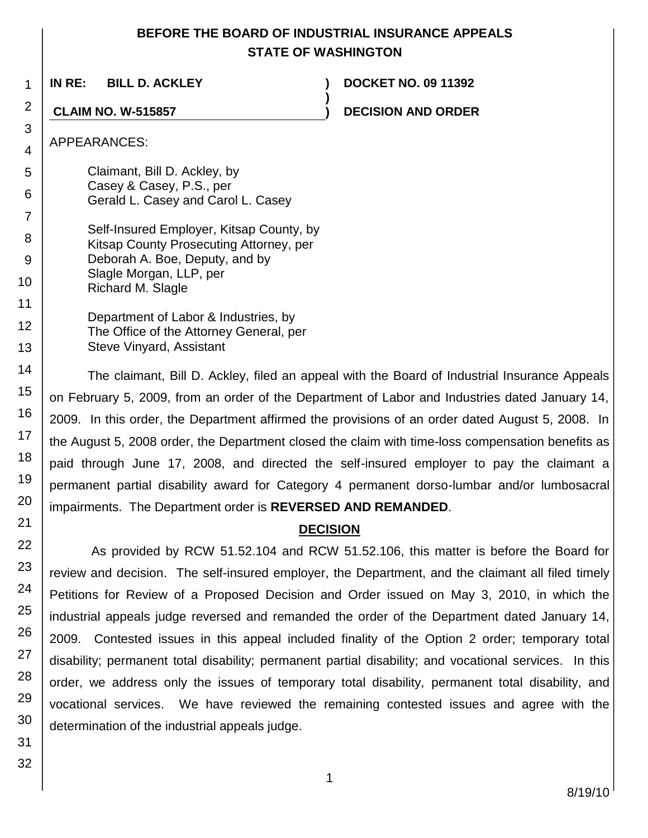## **BEFORE THE BOARD OF INDUSTRIAL INSURANCE APPEALS STATE OF WASHINGTON**

**)**

**IN RE: BILL D. ACKLEY ) DOCKET NO. 09 11392**

**CLAIM NO. W-515857 ) DECISION AND ORDER**

### APPEARANCES:

- Claimant, Bill D. Ackley, by Casey & Casey, P.S., per Gerald L. Casey and Carol L. Casey
- Self-Insured Employer, Kitsap County, by Kitsap County Prosecuting Attorney, per Deborah A. Boe, Deputy, and by Slagle Morgan, LLP, per Richard M. Slagle
	- Department of Labor & Industries, by The Office of the Attorney General, per Steve Vinyard, Assistant

The claimant, Bill D. Ackley, filed an appeal with the Board of Industrial Insurance Appeals on February 5, 2009, from an order of the Department of Labor and Industries dated January 14, 2009. In this order, the Department affirmed the provisions of an order dated August 5, 2008. In the August 5, 2008 order, the Department closed the claim with time-loss compensation benefits as paid through June 17, 2008, and directed the self-insured employer to pay the claimant a permanent partial disability award for Category 4 permanent dorso-lumbar and/or lumbosacral impairments. The Department order is **REVERSED AND REMANDED**.

## **DECISION**

As provided by RCW 51.52.104 and RCW 51.52.106, this matter is before the Board for review and decision. The self-insured employer, the Department, and the claimant all filed timely Petitions for Review of a Proposed Decision and Order issued on May 3, 2010, in which the industrial appeals judge reversed and remanded the order of the Department dated January 14, 2009. Contested issues in this appeal included finality of the Option 2 order; temporary total disability; permanent total disability; permanent partial disability; and vocational services. In this order, we address only the issues of temporary total disability, permanent total disability, and vocational services. We have reviewed the remaining contested issues and agree with the determination of the industrial appeals judge.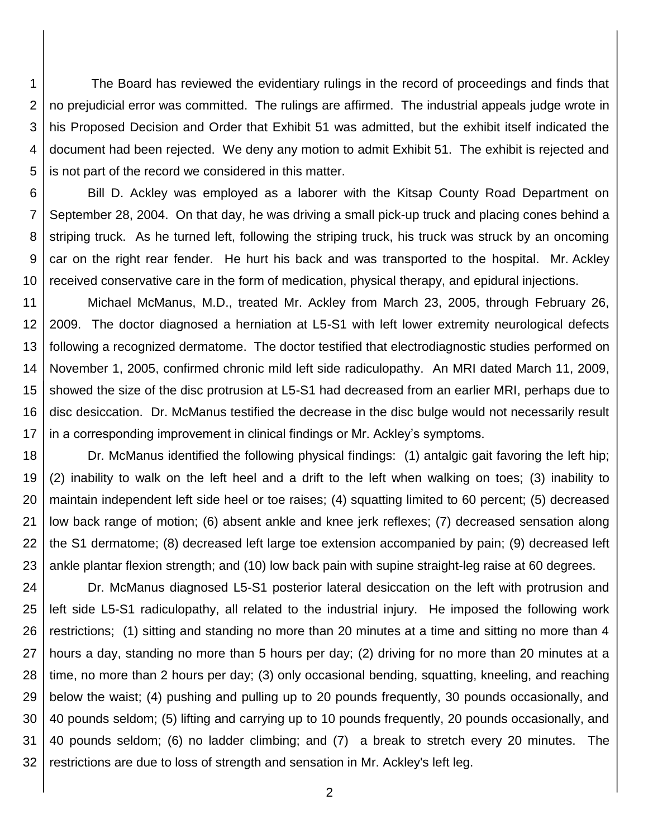1 2 3 4 5 The Board has reviewed the evidentiary rulings in the record of proceedings and finds that no prejudicial error was committed. The rulings are affirmed. The industrial appeals judge wrote in his Proposed Decision and Order that Exhibit 51 was admitted, but the exhibit itself indicated the document had been rejected. We deny any motion to admit Exhibit 51. The exhibit is rejected and is not part of the record we considered in this matter.

6 7 8 9 10 Bill D. Ackley was employed as a laborer with the Kitsap County Road Department on September 28, 2004. On that day, he was driving a small pick-up truck and placing cones behind a striping truck. As he turned left, following the striping truck, his truck was struck by an oncoming car on the right rear fender. He hurt his back and was transported to the hospital. Mr. Ackley received conservative care in the form of medication, physical therapy, and epidural injections.

11 12 13 14 15 16 17 Michael McManus, M.D., treated Mr. Ackley from March 23, 2005, through February 26, 2009. The doctor diagnosed a herniation at L5-S1 with left lower extremity neurological defects following a recognized dermatome. The doctor testified that electrodiagnostic studies performed on November 1, 2005, confirmed chronic mild left side radiculopathy. An MRI dated March 11, 2009, showed the size of the disc protrusion at L5-S1 had decreased from an earlier MRI, perhaps due to disc desiccation. Dr. McManus testified the decrease in the disc bulge would not necessarily result in a corresponding improvement in clinical findings or Mr. Ackley's symptoms.

18 19 20 21 22 23 Dr. McManus identified the following physical findings: (1) antalgic gait favoring the left hip; (2) inability to walk on the left heel and a drift to the left when walking on toes; (3) inability to maintain independent left side heel or toe raises; (4) squatting limited to 60 percent; (5) decreased low back range of motion; (6) absent ankle and knee jerk reflexes; (7) decreased sensation along the S1 dermatome; (8) decreased left large toe extension accompanied by pain; (9) decreased left ankle plantar flexion strength; and (10) low back pain with supine straight-leg raise at 60 degrees.

24 25 26 27 28 29 30 31 32 Dr. McManus diagnosed L5-S1 posterior lateral desiccation on the left with protrusion and left side L5-S1 radiculopathy, all related to the industrial injury. He imposed the following work restrictions; (1) sitting and standing no more than 20 minutes at a time and sitting no more than 4 hours a day, standing no more than 5 hours per day; (2) driving for no more than 20 minutes at a time, no more than 2 hours per day; (3) only occasional bending, squatting, kneeling, and reaching below the waist; (4) pushing and pulling up to 20 pounds frequently, 30 pounds occasionally, and 40 pounds seldom; (5) lifting and carrying up to 10 pounds frequently, 20 pounds occasionally, and 40 pounds seldom; (6) no ladder climbing; and (7) a break to stretch every 20 minutes. The restrictions are due to loss of strength and sensation in Mr. Ackley's left leg.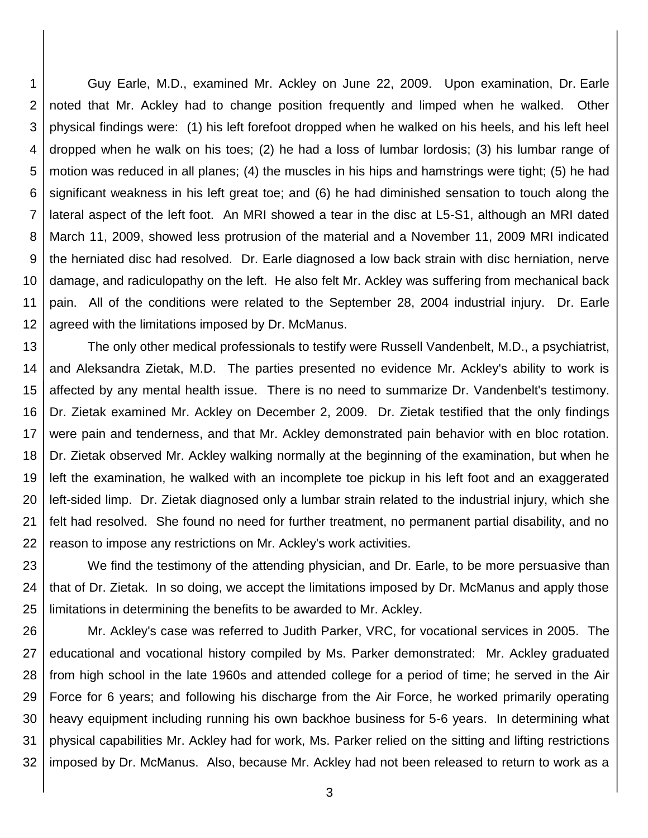1 2 3 4 5 6 7 8 9 10 11 12 Guy Earle, M.D., examined Mr. Ackley on June 22, 2009. Upon examination, Dr. Earle noted that Mr. Ackley had to change position frequently and limped when he walked. Other physical findings were: (1) his left forefoot dropped when he walked on his heels, and his left heel dropped when he walk on his toes; (2) he had a loss of lumbar lordosis; (3) his lumbar range of motion was reduced in all planes; (4) the muscles in his hips and hamstrings were tight; (5) he had significant weakness in his left great toe; and (6) he had diminished sensation to touch along the lateral aspect of the left foot. An MRI showed a tear in the disc at L5-S1, although an MRI dated March 11, 2009, showed less protrusion of the material and a November 11, 2009 MRI indicated the herniated disc had resolved. Dr. Earle diagnosed a low back strain with disc herniation, nerve damage, and radiculopathy on the left. He also felt Mr. Ackley was suffering from mechanical back pain. All of the conditions were related to the September 28, 2004 industrial injury. Dr. Earle agreed with the limitations imposed by Dr. McManus.

13 14 15 16 17 18 19 20 21 22 The only other medical professionals to testify were Russell Vandenbelt, M.D., a psychiatrist, and Aleksandra Zietak, M.D. The parties presented no evidence Mr. Ackley's ability to work is affected by any mental health issue. There is no need to summarize Dr. Vandenbelt's testimony. Dr. Zietak examined Mr. Ackley on December 2, 2009. Dr. Zietak testified that the only findings were pain and tenderness, and that Mr. Ackley demonstrated pain behavior with en bloc rotation. Dr. Zietak observed Mr. Ackley walking normally at the beginning of the examination, but when he left the examination, he walked with an incomplete toe pickup in his left foot and an exaggerated left-sided limp. Dr. Zietak diagnosed only a lumbar strain related to the industrial injury, which she felt had resolved. She found no need for further treatment, no permanent partial disability, and no reason to impose any restrictions on Mr. Ackley's work activities.

23 24 25 We find the testimony of the attending physician, and Dr. Earle, to be more persuasive than that of Dr. Zietak. In so doing, we accept the limitations imposed by Dr. McManus and apply those limitations in determining the benefits to be awarded to Mr. Ackley.

26 27 28 29 30 31 32 Mr. Ackley's case was referred to Judith Parker, VRC, for vocational services in 2005. The educational and vocational history compiled by Ms. Parker demonstrated: Mr. Ackley graduated from high school in the late 1960s and attended college for a period of time; he served in the Air Force for 6 years; and following his discharge from the Air Force, he worked primarily operating heavy equipment including running his own backhoe business for 5-6 years. In determining what physical capabilities Mr. Ackley had for work, Ms. Parker relied on the sitting and lifting restrictions imposed by Dr. McManus. Also, because Mr. Ackley had not been released to return to work as a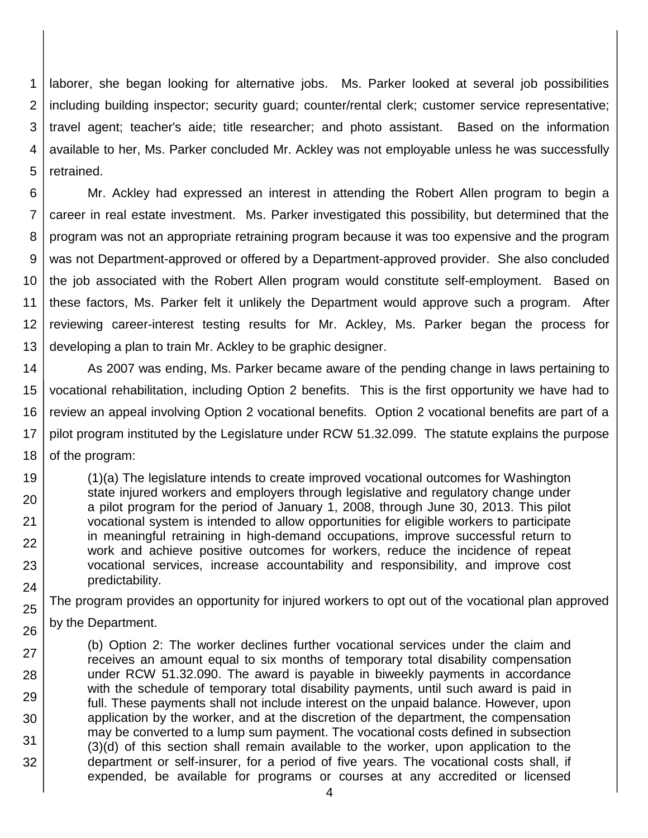1 2 3 4 5 laborer, she began looking for alternative jobs. Ms. Parker looked at several job possibilities including building inspector; security guard; counter/rental clerk; customer service representative; travel agent; teacher's aide; title researcher; and photo assistant. Based on the information available to her, Ms. Parker concluded Mr. Ackley was not employable unless he was successfully retrained.

6 7 8 9 10 11 12 13 Mr. Ackley had expressed an interest in attending the Robert Allen program to begin a career in real estate investment. Ms. Parker investigated this possibility, but determined that the program was not an appropriate retraining program because it was too expensive and the program was not Department-approved or offered by a Department-approved provider. She also concluded the job associated with the Robert Allen program would constitute self-employment. Based on these factors, Ms. Parker felt it unlikely the Department would approve such a program. After reviewing career-interest testing results for Mr. Ackley, Ms. Parker began the process for developing a plan to train Mr. Ackley to be graphic designer.

14 15 16 17 18 As 2007 was ending, Ms. Parker became aware of the pending change in laws pertaining to vocational rehabilitation, including Option 2 benefits. This is the first opportunity we have had to review an appeal involving Option 2 vocational benefits. Option 2 vocational benefits are part of a pilot program instituted by the Legislature under RCW 51.32.099. The statute explains the purpose of the program:

19 20 21 22 23 24 (1)(a) The legislature intends to create improved vocational outcomes for Washington state injured workers and employers through legislative and regulatory change under a pilot program for the period of January 1, 2008, through June 30, 2013. This pilot vocational system is intended to allow opportunities for eligible workers to participate in meaningful retraining in high-demand occupations, improve successful return to work and achieve positive outcomes for workers, reduce the incidence of repeat vocational services, increase accountability and responsibility, and improve cost predictability.

25

26

The program provides an opportunity for injured workers to opt out of the vocational plan approved by the Department.

27 28 29 30 31 32 (b) Option 2: The worker declines further vocational services under the claim and receives an amount equal to six months of temporary total disability compensation under RCW [51.32.090.](http://apps.leg.wa.gov/rcw/default.aspx?cite=51.32.090) The award is payable in biweekly payments in accordance with the schedule of temporary total disability payments, until such award is paid in full. These payments shall not include interest on the unpaid balance. However, upon application by the worker, and at the discretion of the department, the compensation may be converted to a lump sum payment. The vocational costs defined in subsection (3)(d) of this section shall remain available to the worker, upon application to the department or self-insurer, for a period of five years. The vocational costs shall, if expended, be available for programs or courses at any accredited or licensed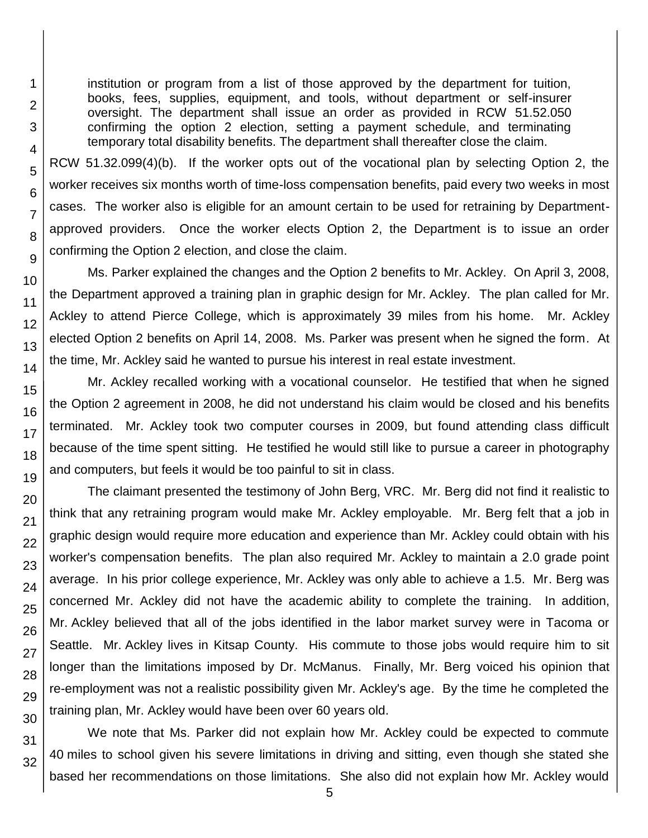institution or program from a list of those approved by the department for tuition, books, fees, supplies, equipment, and tools, without department or self-insurer oversight. The department shall issue an order as provided in RCW [51.52.050](http://apps.leg.wa.gov/rcw/default.aspx?cite=51.52.050) confirming the option 2 election, setting a payment schedule, and terminating temporary total disability benefits. The department shall thereafter close the claim.

RCW 51.32.099(4)(b). If the worker opts out of the vocational plan by selecting Option 2, the worker receives six months worth of time-loss compensation benefits, paid every two weeks in most cases. The worker also is eligible for an amount certain to be used for retraining by Departmentapproved providers. Once the worker elects Option 2, the Department is to issue an order confirming the Option 2 election, and close the claim.

Ms. Parker explained the changes and the Option 2 benefits to Mr. Ackley. On April 3, 2008, the Department approved a training plan in graphic design for Mr. Ackley. The plan called for Mr. Ackley to attend Pierce College, which is approximately 39 miles from his home. Mr. Ackley elected Option 2 benefits on April 14, 2008. Ms. Parker was present when he signed the form. At the time, Mr. Ackley said he wanted to pursue his interest in real estate investment.

Mr. Ackley recalled working with a vocational counselor. He testified that when he signed the Option 2 agreement in 2008, he did not understand his claim would be closed and his benefits terminated. Mr. Ackley took two computer courses in 2009, but found attending class difficult because of the time spent sitting. He testified he would still like to pursue a career in photography and computers, but feels it would be too painful to sit in class.

The claimant presented the testimony of John Berg, VRC. Mr. Berg did not find it realistic to think that any retraining program would make Mr. Ackley employable. Mr. Berg felt that a job in graphic design would require more education and experience than Mr. Ackley could obtain with his worker's compensation benefits. The plan also required Mr. Ackley to maintain a 2.0 grade point average. In his prior college experience, Mr. Ackley was only able to achieve a 1.5. Mr. Berg was concerned Mr. Ackley did not have the academic ability to complete the training. In addition, Mr. Ackley believed that all of the jobs identified in the labor market survey were in Tacoma or Seattle. Mr. Ackley lives in Kitsap County. His commute to those jobs would require him to sit longer than the limitations imposed by Dr. McManus. Finally, Mr. Berg voiced his opinion that re-employment was not a realistic possibility given Mr. Ackley's age. By the time he completed the training plan, Mr. Ackley would have been over 60 years old.

We note that Ms. Parker did not explain how Mr. Ackley could be expected to commute 40 miles to school given his severe limitations in driving and sitting, even though she stated she based her recommendations on those limitations. She also did not explain how Mr. Ackley would

32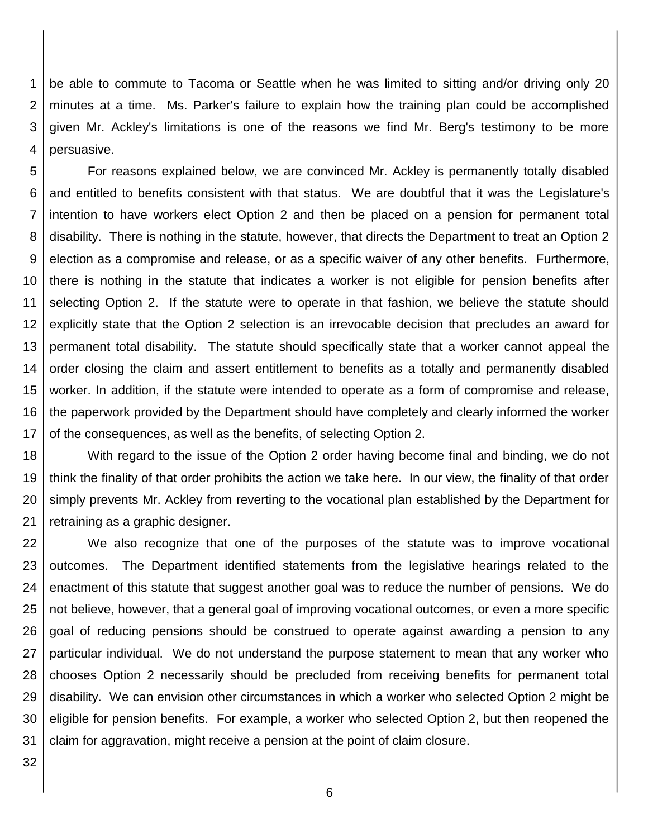1 2 3 4 be able to commute to Tacoma or Seattle when he was limited to sitting and/or driving only 20 minutes at a time. Ms. Parker's failure to explain how the training plan could be accomplished given Mr. Ackley's limitations is one of the reasons we find Mr. Berg's testimony to be more persuasive.

5 6 7 8 9 10 11 12 13 14 15 16 17 For reasons explained below, we are convinced Mr. Ackley is permanently totally disabled and entitled to benefits consistent with that status. We are doubtful that it was the Legislature's intention to have workers elect Option 2 and then be placed on a pension for permanent total disability. There is nothing in the statute, however, that directs the Department to treat an Option 2 election as a compromise and release, or as a specific waiver of any other benefits. Furthermore, there is nothing in the statute that indicates a worker is not eligible for pension benefits after selecting Option 2. If the statute were to operate in that fashion, we believe the statute should explicitly state that the Option 2 selection is an irrevocable decision that precludes an award for permanent total disability. The statute should specifically state that a worker cannot appeal the order closing the claim and assert entitlement to benefits as a totally and permanently disabled worker. In addition, if the statute were intended to operate as a form of compromise and release, the paperwork provided by the Department should have completely and clearly informed the worker of the consequences, as well as the benefits, of selecting Option 2.

18 19 20 21 With regard to the issue of the Option 2 order having become final and binding, we do not think the finality of that order prohibits the action we take here. In our view, the finality of that order simply prevents Mr. Ackley from reverting to the vocational plan established by the Department for retraining as a graphic designer.

22 23 24 25 26 27 28 29 30 31 We also recognize that one of the purposes of the statute was to improve vocational outcomes. The Department identified statements from the legislative hearings related to the enactment of this statute that suggest another goal was to reduce the number of pensions. We do not believe, however, that a general goal of improving vocational outcomes, or even a more specific goal of reducing pensions should be construed to operate against awarding a pension to any particular individual. We do not understand the purpose statement to mean that any worker who chooses Option 2 necessarily should be precluded from receiving benefits for permanent total disability. We can envision other circumstances in which a worker who selected Option 2 might be eligible for pension benefits. For example, a worker who selected Option 2, but then reopened the claim for aggravation, might receive a pension at the point of claim closure.

32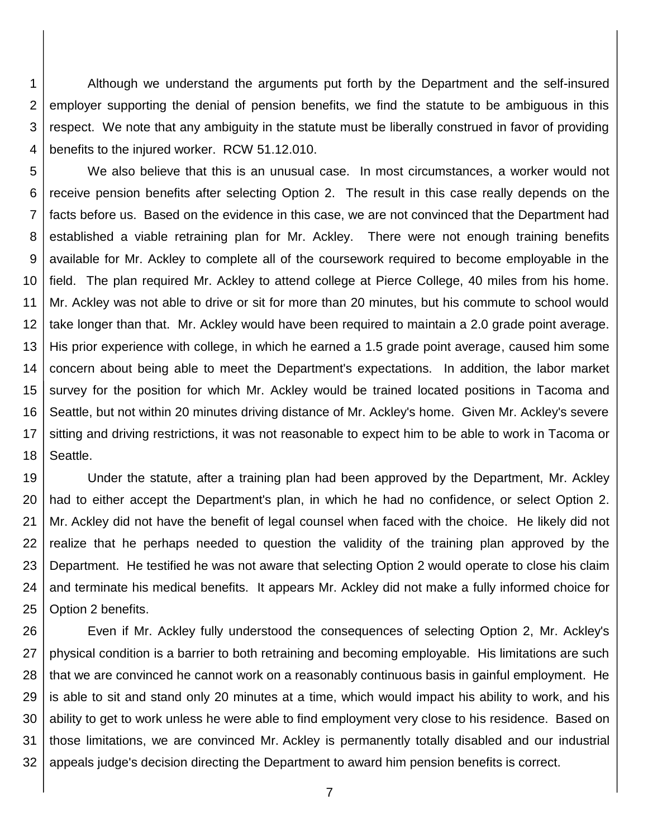1 2 3 4 Although we understand the arguments put forth by the Department and the self-insured employer supporting the denial of pension benefits, we find the statute to be ambiguous in this respect. We note that any ambiguity in the statute must be liberally construed in favor of providing benefits to the injured worker. RCW 51.12.010.

5 6 7 8 9 10 11 12 13 14 15 16 17 18 We also believe that this is an unusual case. In most circumstances, a worker would not receive pension benefits after selecting Option 2. The result in this case really depends on the facts before us. Based on the evidence in this case, we are not convinced that the Department had established a viable retraining plan for Mr. Ackley. There were not enough training benefits available for Mr. Ackley to complete all of the coursework required to become employable in the field. The plan required Mr. Ackley to attend college at Pierce College, 40 miles from his home. Mr. Ackley was not able to drive or sit for more than 20 minutes, but his commute to school would take longer than that. Mr. Ackley would have been required to maintain a 2.0 grade point average. His prior experience with college, in which he earned a 1.5 grade point average, caused him some concern about being able to meet the Department's expectations. In addition, the labor market survey for the position for which Mr. Ackley would be trained located positions in Tacoma and Seattle, but not within 20 minutes driving distance of Mr. Ackley's home. Given Mr. Ackley's severe sitting and driving restrictions, it was not reasonable to expect him to be able to work in Tacoma or Seattle.

19 20 21 22 23 24 25 Under the statute, after a training plan had been approved by the Department, Mr. Ackley had to either accept the Department's plan, in which he had no confidence, or select Option 2. Mr. Ackley did not have the benefit of legal counsel when faced with the choice. He likely did not realize that he perhaps needed to question the validity of the training plan approved by the Department. He testified he was not aware that selecting Option 2 would operate to close his claim and terminate his medical benefits. It appears Mr. Ackley did not make a fully informed choice for Option 2 benefits.

26 27 28 29 30 31 32 Even if Mr. Ackley fully understood the consequences of selecting Option 2, Mr. Ackley's physical condition is a barrier to both retraining and becoming employable. His limitations are such that we are convinced he cannot work on a reasonably continuous basis in gainful employment. He is able to sit and stand only 20 minutes at a time, which would impact his ability to work, and his ability to get to work unless he were able to find employment very close to his residence. Based on those limitations, we are convinced Mr. Ackley is permanently totally disabled and our industrial appeals judge's decision directing the Department to award him pension benefits is correct.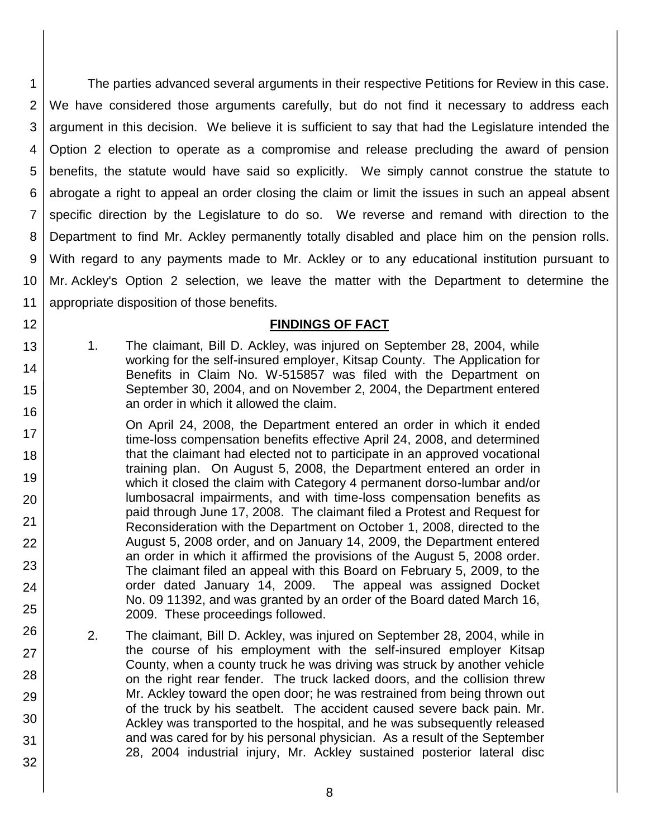1 2 3 4 5 6 7 8 9 10 11 The parties advanced several arguments in their respective Petitions for Review in this case. We have considered those arguments carefully, but do not find it necessary to address each argument in this decision. We believe it is sufficient to say that had the Legislature intended the Option 2 election to operate as a compromise and release precluding the award of pension benefits, the statute would have said so explicitly. We simply cannot construe the statute to abrogate a right to appeal an order closing the claim or limit the issues in such an appeal absent specific direction by the Legislature to do so. We reverse and remand with direction to the Department to find Mr. Ackley permanently totally disabled and place him on the pension rolls. With regard to any payments made to Mr. Ackley or to any educational institution pursuant to Mr. Ackley's Option 2 selection, we leave the matter with the Department to determine the appropriate disposition of those benefits.

### **FINDINGS OF FACT**

1. The claimant, Bill D. Ackley, was injured on September 28, 2004, while working for the self-insured employer, Kitsap County. The Application for Benefits in Claim No. W-515857 was filed with the Department on September 30, 2004, and on November 2, 2004, the Department entered an order in which it allowed the claim.

12

13

14

15

16

17

18

19

20

21

22

23

24

25

26

27

28

29

30

31

- On April 24, 2008, the Department entered an order in which it ended time-loss compensation benefits effective April 24, 2008, and determined that the claimant had elected not to participate in an approved vocational training plan. On August 5, 2008, the Department entered an order in which it closed the claim with Category 4 permanent dorso-lumbar and/or lumbosacral impairments, and with time-loss compensation benefits as paid through June 17, 2008. The claimant filed a Protest and Request for Reconsideration with the Department on October 1, 2008, directed to the August 5, 2008 order, and on January 14, 2009, the Department entered an order in which it affirmed the provisions of the August 5, 2008 order. The claimant filed an appeal with this Board on February 5, 2009, to the order dated January 14, 2009. The appeal was assigned Docket No. 09 11392, and was granted by an order of the Board dated March 16, 2009. These proceedings followed.
- 2. The claimant, Bill D. Ackley, was injured on September 28, 2004, while in the course of his employment with the self-insured employer Kitsap County, when a county truck he was driving was struck by another vehicle on the right rear fender. The truck lacked doors, and the collision threw Mr. Ackley toward the open door; he was restrained from being thrown out of the truck by his seatbelt. The accident caused severe back pain. Mr. Ackley was transported to the hospital, and he was subsequently released and was cared for by his personal physician. As a result of the September 28, 2004 industrial injury, Mr. Ackley sustained posterior lateral disc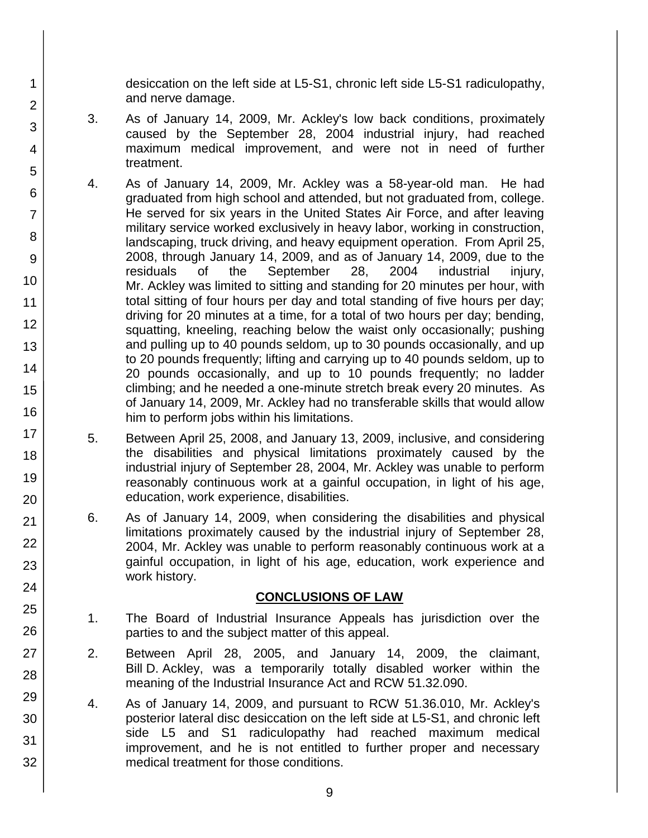desiccation on the left side at L5-S1, chronic left side L5-S1 radiculopathy, and nerve damage.

3. As of January 14, 2009, Mr. Ackley's low back conditions, proximately caused by the September 28, 2004 industrial injury, had reached maximum medical improvement, and were not in need of further treatment.

1

2

3

4

5

6

7

8

9

10

11

12

13

14

15

16

17

18

19

20

21 22

23

24

25

26

27

28

29

30

31

32

- 4. As of January 14, 2009, Mr. Ackley was a 58-year-old man. He had graduated from high school and attended, but not graduated from, college. He served for six years in the United States Air Force, and after leaving military service worked exclusively in heavy labor, working in construction, landscaping, truck driving, and heavy equipment operation. From April 25, 2008, through January 14, 2009, and as of January 14, 2009, due to the residuals of the September 28, 2004 industrial injury, Mr. Ackley was limited to sitting and standing for 20 minutes per hour, with total sitting of four hours per day and total standing of five hours per day; driving for 20 minutes at a time, for a total of two hours per day; bending, squatting, kneeling, reaching below the waist only occasionally; pushing and pulling up to 40 pounds seldom, up to 30 pounds occasionally, and up to 20 pounds frequently; lifting and carrying up to 40 pounds seldom, up to 20 pounds occasionally, and up to 10 pounds frequently; no ladder climbing; and he needed a one-minute stretch break every 20 minutes. As of January 14, 2009, Mr. Ackley had no transferable skills that would allow him to perform jobs within his limitations.
	- 5. Between April 25, 2008, and January 13, 2009, inclusive, and considering the disabilities and physical limitations proximately caused by the industrial injury of September 28, 2004, Mr. Ackley was unable to perform reasonably continuous work at a gainful occupation, in light of his age, education, work experience, disabilities.
	- 6. As of January 14, 2009, when considering the disabilities and physical limitations proximately caused by the industrial injury of September 28, 2004, Mr. Ackley was unable to perform reasonably continuous work at a gainful occupation, in light of his age, education, work experience and work history.

## **CONCLUSIONS OF LAW**

- 1. The Board of Industrial Insurance Appeals has jurisdiction over the parties to and the subject matter of this appeal.
- 2. Between April 28, 2005, and January 14, 2009, the claimant, Bill D. Ackley, was a temporarily totally disabled worker within the meaning of the Industrial Insurance Act and RCW 51.32.090.
- 4. As of January 14, 2009, and pursuant to RCW 51.36.010, Mr. Ackley's posterior lateral disc desiccation on the left side at L5-S1, and chronic left side L5 and S1 radiculopathy had reached maximum medical improvement, and he is not entitled to further proper and necessary medical treatment for those conditions.
	- 9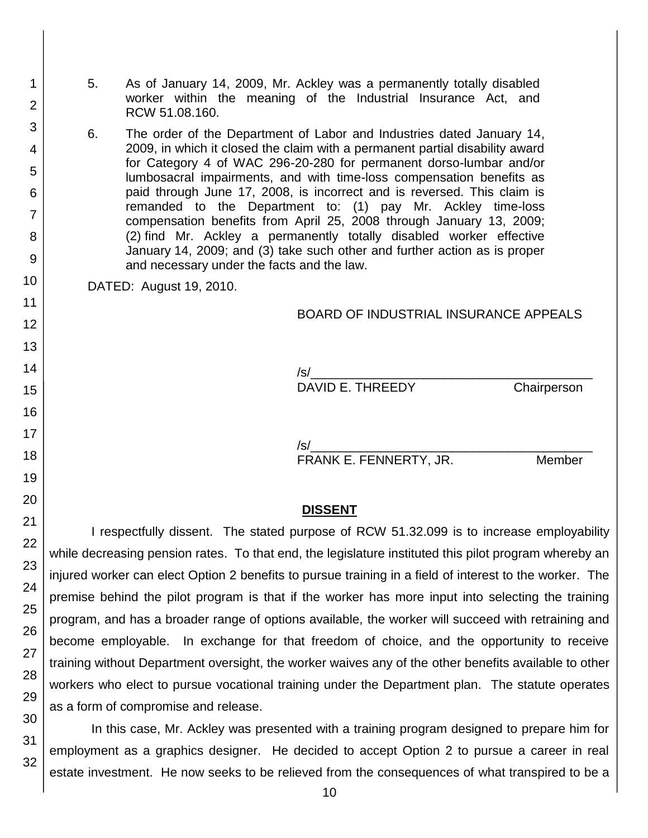- 5. As of January 14, 2009, Mr. Ackley was a permanently totally disabled worker within the meaning of the Industrial Insurance Act, and RCW 51.08.160.
- 6. The order of the Department of Labor and Industries dated January 14, 2009, in which it closed the claim with a permanent partial disability award for Category 4 of WAC 296-20-280 for permanent dorso-lumbar and/or lumbosacral impairments, and with time-loss compensation benefits as paid through June 17, 2008, is incorrect and is reversed. This claim is remanded to the Department to: (1) pay Mr. Ackley time-loss compensation benefits from April 25, 2008 through January 13, 2009; (2) find Mr. Ackley a permanently totally disabled worker effective January 14, 2009; and (3) take such other and further action as is proper and necessary under the facts and the law.

DATED: August 19, 2010.

#### BOARD OF INDUSTRIAL INSURANCE APPEALS

 $\sqrt{s}$ / DAVID E. THREEDY Chairperson

/s/\_\_\_\_\_\_\_\_\_\_\_\_\_\_\_\_\_\_\_\_\_\_\_\_\_\_\_\_\_\_\_\_\_\_\_\_\_\_\_\_

FRANK E. FENNERTY, JR. Member

#### **DISSENT**

I respectfully dissent. The stated purpose of RCW 51.32.099 is to increase employability while decreasing pension rates. To that end, the legislature instituted this pilot program whereby an injured worker can elect Option 2 benefits to pursue training in a field of interest to the worker. The premise behind the pilot program is that if the worker has more input into selecting the training program, and has a broader range of options available, the worker will succeed with retraining and become employable. In exchange for that freedom of choice, and the opportunity to receive training without Department oversight, the worker waives any of the other benefits available to other workers who elect to pursue vocational training under the Department plan. The statute operates as a form of compromise and release.

In this case, Mr. Ackley was presented with a training program designed to prepare him for employment as a graphics designer. He decided to accept Option 2 to pursue a career in real estate investment. He now seeks to be relieved from the consequences of what transpired to be a